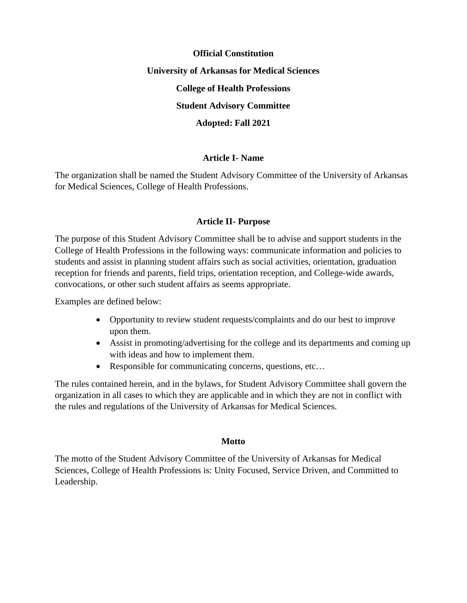# **Official Constitution University of Arkansas for Medical Sciences College of Health Professions Student Advisory Committee Adopted: Fall 2021**

# **Article I- Name**

The organization shall be named the Student Advisory Committee of the University of Arkansas for Medical Sciences, College of Health Professions.

# **Article II- Purpose**

The purpose of this Student Advisory Committee shall be to advise and support students in the College of Health Professions in the following ways: communicate information and policies to students and assist in planning student affairs such as social activities, orientation, graduation reception for friends and parents, field trips, orientation reception, and College-wide awards, convocations, or other such student affairs as seems appropriate.

Examples are defined below:

- Opportunity to review student requests/complaints and do our best to improve upon them.
- Assist in promoting/advertising for the college and its departments and coming up with ideas and how to implement them.
- Responsible for communicating concerns, questions, etc...

The rules contained herein, and in the bylaws, for Student Advisory Committee shall govern the organization in all cases to which they are applicable and in which they are not in conflict with the rules and regulations of the University of Arkansas for Medical Sciences.

# **Motto**

The motto of the Student Advisory Committee of the University of Arkansas for Medical Sciences, College of Health Professions is: Unity Focused, Service Driven, and Committed to Leadership.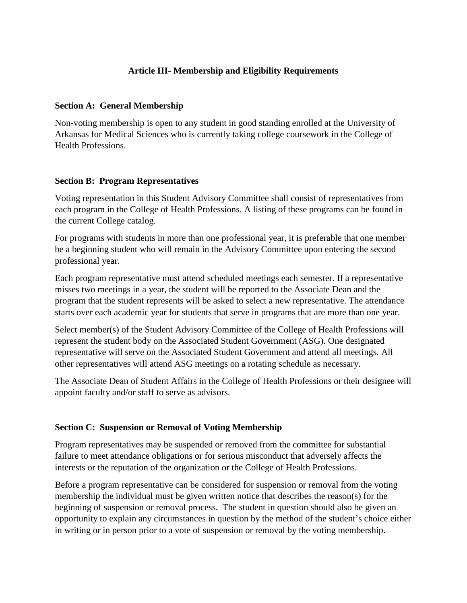# **Article III- Membership and Eligibility Requirements**

#### **Section A: General Membership**

Non-voting membership is open to any student in good standing enrolled at the University of Arkansas for Medical Sciences who is currently taking college coursework in the College of Health Professions.

## **Section B: Program Representatives**

Voting representation in this Student Advisory Committee shall consist of representatives from each program in the College of Health Professions. A listing of these programs can be found in the current College catalog.

For programs with students in more than one professional year, it is preferable that one member be a beginning student who will remain in the Advisory Committee upon entering the second professional year.

Each program representative must attend scheduled meetings each semester. If a representative misses two meetings in a year, the student will be reported to the Associate Dean and the program that the student represents will be asked to select a new representative. The attendance starts over each academic year for students that serve in programs that are more than one year.

Select member(s) of the Student Advisory Committee of the College of Health Professions will represent the student body on the Associated Student Government (ASG). One designated representative will serve on the Associated Student Government and attend all meetings. All other representatives will attend ASG meetings on a rotating schedule as necessary.

The Associate Dean of Student Affairs in the College of Health Professions or their designee will appoint faculty and/or staff to serve as advisors.

# **Section C: Suspension or Removal of Voting Membership**

Program representatives may be suspended or removed from the committee for substantial failure to meet attendance obligations or for serious misconduct that adversely affects the interests or the reputation of the organization or the College of Health Professions.

Before a program representative can be considered for suspension or removal from the voting membership the individual must be given written notice that describes the reason(s) for the beginning of suspension or removal process. The student in question should also be given an opportunity to explain any circumstances in question by the method of the student's choice either in writing or in person prior to a vote of suspension or removal by the voting membership.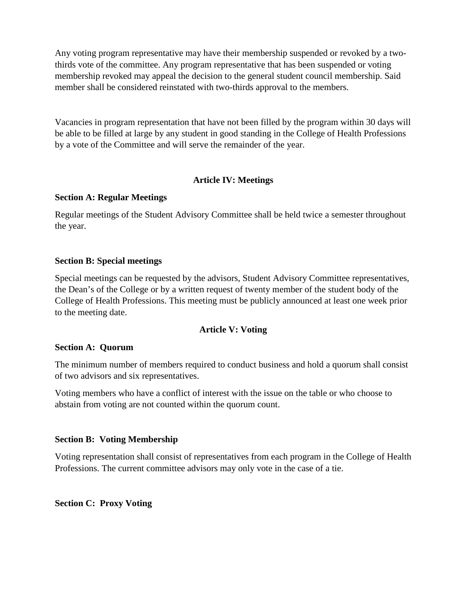Any voting program representative may have their membership suspended or revoked by a twothirds vote of the committee. Any program representative that has been suspended or voting membership revoked may appeal the decision to the general student council membership. Said member shall be considered reinstated with two-thirds approval to the members.

Vacancies in program representation that have not been filled by the program within 30 days will be able to be filled at large by any student in good standing in the College of Health Professions by a vote of the Committee and will serve the remainder of the year.

# **Article IV: Meetings**

## **Section A: Regular Meetings**

Regular meetings of the Student Advisory Committee shall be held twice a semester throughout the year.

## **Section B: Special meetings**

Special meetings can be requested by the advisors, Student Advisory Committee representatives, the Dean's of the College or by a written request of twenty member of the student body of the College of Health Professions. This meeting must be publicly announced at least one week prior to the meeting date.

# **Article V: Voting**

# **Section A: Quorum**

The minimum number of members required to conduct business and hold a quorum shall consist of two advisors and six representatives.

Voting members who have a conflict of interest with the issue on the table or who choose to abstain from voting are not counted within the quorum count.

# **Section B: Voting Membership**

Voting representation shall consist of representatives from each program in the College of Health Professions. The current committee advisors may only vote in the case of a tie.

**Section C: Proxy Voting**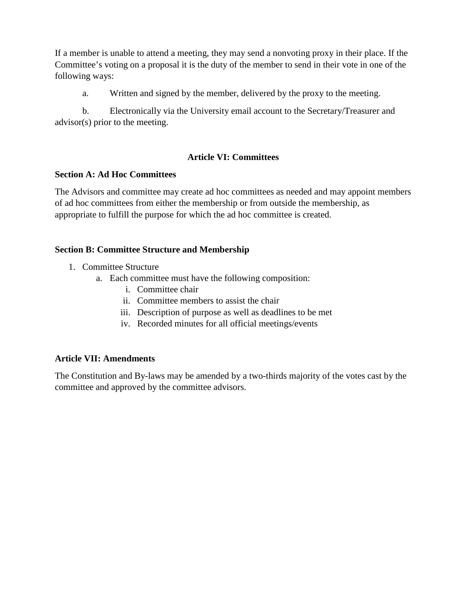If a member is unable to attend a meeting, they may send a nonvoting proxy in their place. If the Committee's voting on a proposal it is the duty of the member to send in their vote in one of the following ways:

a. Written and signed by the member, delivered by the proxy to the meeting.

b. Electronically via the University email account to the Secretary/Treasurer and advisor(s) prior to the meeting.

# **Article VI: Committees**

# **Section A: Ad Hoc Committees**

The Advisors and committee may create ad hoc committees as needed and may appoint members of ad hoc committees from either the membership or from outside the membership, as appropriate to fulfill the purpose for which the ad hoc committee is created.

# **Section B: Committee Structure and Membership**

- 1. Committee Structure
	- a. Each committee must have the following composition:
		- i. Committee chair
		- ii. Committee members to assist the chair
		- iii. Description of purpose as well as deadlines to be met
		- iv. Recorded minutes for all official meetings/events

# **Article VII: Amendments**

The Constitution and By-laws may be amended by a two-thirds majority of the votes cast by the committee and approved by the committee advisors.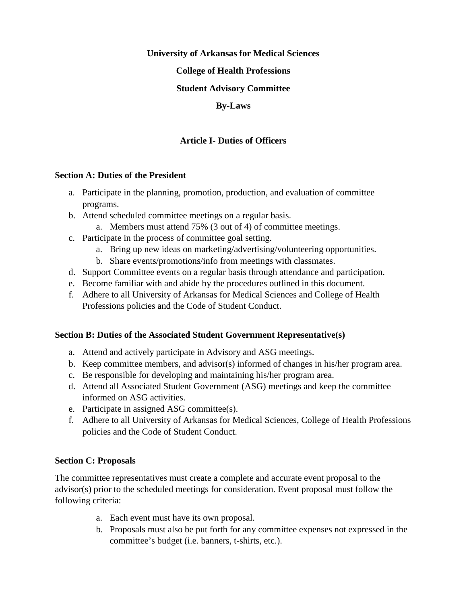#### **University of Arkansas for Medical Sciences**

## **College of Health Professions**

# **Student Advisory Committee**

## **By-Laws**

# **Article I- Duties of Officers**

## **Section A: Duties of the President**

- a. Participate in the planning, promotion, production, and evaluation of committee programs.
- b. Attend scheduled committee meetings on a regular basis.
	- a. Members must attend 75% (3 out of 4) of committee meetings.
- c. Participate in the process of committee goal setting.
	- a. Bring up new ideas on marketing/advertising/volunteering opportunities.
	- b. Share events/promotions/info from meetings with classmates.
- d. Support Committee events on a regular basis through attendance and participation.
- e. Become familiar with and abide by the procedures outlined in this document.
- f. Adhere to all University of Arkansas for Medical Sciences and College of Health Professions policies and the Code of Student Conduct.

# **Section B: Duties of the Associated Student Government Representative(s)**

- a. Attend and actively participate in Advisory and ASG meetings.
- b. Keep committee members, and advisor(s) informed of changes in his/her program area.
- c. Be responsible for developing and maintaining his/her program area.
- d. Attend all Associated Student Government (ASG) meetings and keep the committee informed on ASG activities.
- e. Participate in assigned ASG committee(s).
- f. Adhere to all University of Arkansas for Medical Sciences, College of Health Professions policies and the Code of Student Conduct.

# **Section C: Proposals**

The committee representatives must create a complete and accurate event proposal to the advisor(s) prior to the scheduled meetings for consideration. Event proposal must follow the following criteria:

- a. Each event must have its own proposal.
- b. Proposals must also be put forth for any committee expenses not expressed in the committee's budget (i.e. banners, t-shirts, etc.).